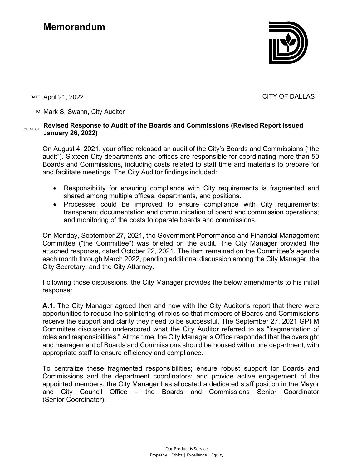

DATE April 21, 2022 CITY OF DALLAS

TO Mark S. Swann, City Auditor

### SUBJECT **Revised Response to Audit of the Boards and Commissions (Revised Report Issued January 26, 2022)**

On August 4, 2021, your office released an audit of the City's Boards and Commissions ("the audit"). Sixteen City departments and offices are responsible for coordinating more than 50 Boards and Commissions, including costs related to staff time and materials to prepare for and facilitate meetings. The City Auditor findings included:

- Responsibility for ensuring compliance with City requirements is fragmented and shared among multiple offices, departments, and positions.
- Processes could be improved to ensure compliance with City requirements; transparent documentation and communication of board and commission operations; and monitoring of the costs to operate boards and commissions.

On Monday, September 27, 2021, the Government Performance and Financial Management Committee ("the Committee") was briefed on the audit. The City Manager provided the attached response, dated October 22, 2021. The item remained on the Committee's agenda each month through March 2022, pending additional discussion among the City Manager, the City Secretary, and the City Attorney.

Following those discussions, the City Manager provides the below amendments to his initial response:

**A.1.** The City Manager agreed then and now with the City Auditor's report that there were opportunities to reduce the splintering of roles so that members of Boards and Commissions receive the support and clarity they need to be successful. The September 27, 2021 GPFM Committee discussion underscored what the City Auditor referred to as "fragmentation of roles and responsibilities." At the time, the City Manager's Office responded that the oversight and management of Boards and Commissions should be housed within one department, with appropriate staff to ensure efficiency and compliance.

To centralize these fragmented responsibilities; ensure robust support for Boards and Commissions and the department coordinators; and provide active engagement of the appointed members, the City Manager has allocated a dedicated staff position in the Mayor and City Council Office – the Boards and Commissions Senior Coordinator (Senior Coordinator).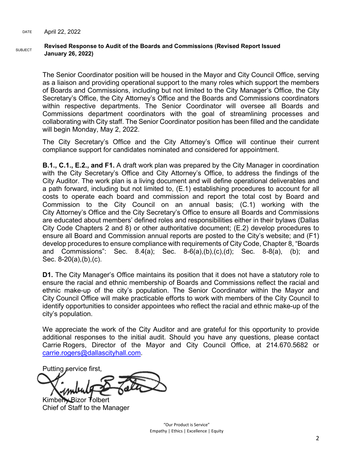### SUBJECT **Revised Response to Audit of the Boards and Commissions (Revised Report Issued January 26, 2022)**

The Senior Coordinator position will be housed in the Mayor and City Council Office, serving as a liaison and providing operational support to the many roles which support the members of Boards and Commissions, including but not limited to the City Manager's Office, the City Secretary's Office, the City Attorney's Office and the Boards and Commissions coordinators within respective departments. The Senior Coordinator will oversee all Boards and Commissions department coordinators with the goal of streamlining processes and collaborating with City staff. The Senior Coordinator position has been filled and the candidate will begin Monday, May 2, 2022.

The City Secretary's Office and the City Attorney's Office will continue their current compliance support for candidates nominated and considered for appointment.

**B.1., C.1., E.2., and F1.** A draft work plan was prepared by the City Manager in coordination with the City Secretary's Office and City Attorney's Office, to address the findings of the City Auditor. The work plan is a living document and will define operational deliverables and a path forward, including but not limited to, (E.1) establishing procedures to account for all costs to operate each board and commission and report the total cost by Board and Commission to the City Council on an annual basis; (C.1) working with the City Attorney's Office and the City Secretary's Office to ensure all Boards and Commissions are educated about members' defined roles and responsibilities either in their bylaws (Dallas City Code Chapters 2 and 8) or other authoritative document; (E.2) develop procedures to ensure all Board and Commission annual reports are posted to the City's website; and (F1) develop procedures to ensure compliance with requirements of City Code, Chapter 8, "Boards and Commissions": Sec. 8.4(a); Sec. 8-6(a),(b),(c),(d); Sec. 8-8(a), (b); and Sec. 8-20(a),(b),(c).

**D1.** The City Manager's Office maintains its position that it does not have a statutory role to ensure the racial and ethnic membership of Boards and Commissions reflect the racial and ethnic make-up of the city's population. The Senior Coordinator within the Mayor and City Council Office will make practicable efforts to work with members of the City Council to identify opportunities to consider appointees who reflect the racial and ethnic make-up of the city's population.

We appreciate the work of the City Auditor and are grateful for this opportunity to provide additional responses to the initial audit. Should you have any questions, please contact Carrie Rogers, Director of the Mayor and City Council Office, at 214.670.5682 or [carrie.rogers@dallascityhall.com.](mailto:carrie.rogers@dallascityhall.com)

Putting service first,

Kimberly Bizor Tolbert Chief of Staff to the Manager

"Our Product is Service" Empathy | Ethics | Excellence | Equity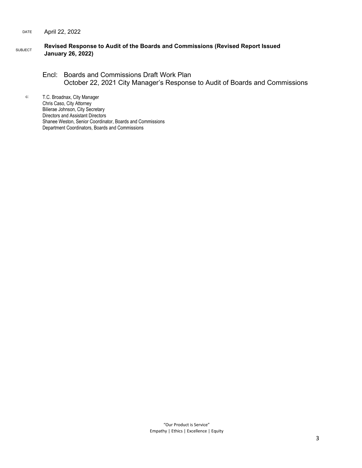### DATE April 22, 2022

### SUBJECT **Revised Response to Audit of the Boards and Commissions (Revised Report Issued January 26, 2022)**

## Encl: Boards and Commissions Draft Work Plan October 22, 2021 City Manager's Response to Audit of Boards and Commissions

c: T.C. Broadnax, City Manager Chris Caso, City Attorney Bilierae Johnson, City Secretary Directors and Assistant Directors Shanee Weston, Senior Coordinator, Boards and Commissions Department Coordinators, Boards and Commissions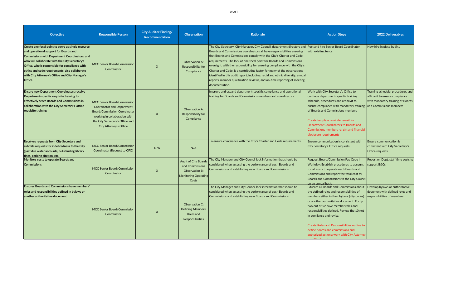| Objective                                                                                                                                                                                                                                                                                                                                                                     | <b>Responsible Person</b>                                                                                                                                                                                           | <b>City Auditor Finding/</b><br><b>Recommendation</b> | <b>Observation</b>                                                                                       | Rationale                                                                                                                                                                                                                                                                                                                                                                                                                                                                                                                                                                                                                                                                             | <b>Action Steps</b>                                                                                                                                                                                                                                                                                                                                                                                                                            | <b>2022 Deliverables</b>                                                                                                            |
|-------------------------------------------------------------------------------------------------------------------------------------------------------------------------------------------------------------------------------------------------------------------------------------------------------------------------------------------------------------------------------|---------------------------------------------------------------------------------------------------------------------------------------------------------------------------------------------------------------------|-------------------------------------------------------|----------------------------------------------------------------------------------------------------------|---------------------------------------------------------------------------------------------------------------------------------------------------------------------------------------------------------------------------------------------------------------------------------------------------------------------------------------------------------------------------------------------------------------------------------------------------------------------------------------------------------------------------------------------------------------------------------------------------------------------------------------------------------------------------------------|------------------------------------------------------------------------------------------------------------------------------------------------------------------------------------------------------------------------------------------------------------------------------------------------------------------------------------------------------------------------------------------------------------------------------------------------|-------------------------------------------------------------------------------------------------------------------------------------|
| Create one focal point to serve as single resource<br>and operational support for Boards and<br>Commissions with Department Coordinators, and<br>who will collaborate with the City Secretary's<br>Office, who is responsible for compliance with<br>ethics and code requirements; also collaborate<br><b>with City Attorney's Office and City Manager's</b><br><b>Office</b> | <b>MCC Senior Board/Commission</b><br>Coordinator                                                                                                                                                                   | $\mathsf{X}$                                          | <b>Observation A:</b><br>Responsibility for<br>Compliance                                                | The City Secretary, City Manager, City Council, department directors and $ $ Post and hire Senior Board Coordinator<br>Boards and Commissions coordinators all have responsibilities ensuring<br>that Boards and Commissions comply with the City's Charter and Code<br>requirements. The lack of one focal point for Boards and Commissions<br>oversight, with the responsibility for ensuring compliance with the City's<br>Charter and Code, is a contributing factor for many of the observations<br>identified in this audit report, including: racial and ethnic diversity, annual<br>reports, member qualification reviews, and on-time reporting of meeting<br>documentation. | with existing funds                                                                                                                                                                                                                                                                                                                                                                                                                            | New hire in place by 5/1                                                                                                            |
| <b>Ensure new Department Coordinators receive</b><br>Department-specific requisite training to<br>effectively serve Boards and Commissions in<br>collaboration with the City Secretary's Office<br>requisite training                                                                                                                                                         | <b>MCC Senior Board/Commission</b><br><b>Coordinator and Department</b><br><b>Board/Commission Coordinator</b><br>working in collaboration with<br>the City Secretary's Office and<br><b>City Attorney's Office</b> | $\mathsf{X}$                                          | <b>Observation A:</b><br>Responsibility for<br>Compliance                                                | Improve and expand department-specific compliance and operational<br>training for Boards and Commissions members and coordinators                                                                                                                                                                                                                                                                                                                                                                                                                                                                                                                                                     | Work with City Secretary's Office to<br>continue department-specific training<br>schedule, procedures and affidavit to<br>ensure compliance with mandatory training<br>of Boards and Commissions members<br>Create template reminder email for<br>Department Coordinators to Boards and<br>Commissions members re: gift and financial<br>disclosure requirements                                                                               | Training schedule, procedures and<br>affidavit to ensure compliance<br>with mandatory training of Boards<br>and Commissions members |
| <b>Receives requests from City Secretary and</b><br>submits requests for indebtedness to the City<br>(past due water accounts, outstanding library<br>fines, parking citation, etc.                                                                                                                                                                                           | MCC Senior Board/Commission  <br>Coordinator (Request to CFO)                                                                                                                                                       | N/A                                                   | N/A                                                                                                      | To ensure compliance with the City's Charter and Code requirements.                                                                                                                                                                                                                                                                                                                                                                                                                                                                                                                                                                                                                   | Ensure communication is consistent with<br>City Secretary's Office requests                                                                                                                                                                                                                                                                                                                                                                    | <b>Ensure communication is</b><br>consistent with City Secretary's<br><b>Office requests</b>                                        |
| Monitors costs to operate Boards and<br><b>Commissions</b>                                                                                                                                                                                                                                                                                                                    | MCC Senior Board/Commission<br>Coordinator                                                                                                                                                                          | $\mathsf{X}$                                          | <b>Audit of City Boards</b><br>and Commissions<br><b>Observation B:</b><br>Monitoring Operating<br>Costs | The City Manager and City Council lack information that should be<br>considered when assessing the performance of each Boards and<br>Commissions and establishing new Boards and Commissions.                                                                                                                                                                                                                                                                                                                                                                                                                                                                                         | Request Board/Commission Pay Code in<br>Workday; Establish procedures to account<br>for all costs to operate each Boards and<br>Commissions and report the total cost by<br>Boards and Commissions to the City Council<br>on an annual basis.                                                                                                                                                                                                  | Report on Dept. staff time costs to<br>support B&Cs                                                                                 |
| <b>Ensures Boards and Commissions have members'</b><br>roles and responsibilities defined in bylaws or<br>another authoritative document                                                                                                                                                                                                                                      | <b>MCC Senior Board/Commission</b><br>Coordinator                                                                                                                                                                   | $\mathsf{X}$                                          | <b>Observation C:</b><br>Defining Members'<br>Roles and<br>Responsibilities                              | The City Manager and City Council lack information that should be<br>considered when assessing the performance of each Boards and<br>Commissions and establishing new Boards and Commissions.                                                                                                                                                                                                                                                                                                                                                                                                                                                                                         | Educate all Boards and Commissions about<br>the defined roles and responsibilities of<br>members either in their bylaws (city codes)<br>or another authoritative document. Forty-<br>two out of 52 have member roles and<br>responsibilities defined. Review the 10 not<br>In comliance and revise.<br><b>Create Roles and Responsibilities outline to</b><br>define boards and commissions and<br>authorized actions; work with City Attorney | Develop bylaws or authoritative<br>document with defined roles and<br>responsibilities of members                                   |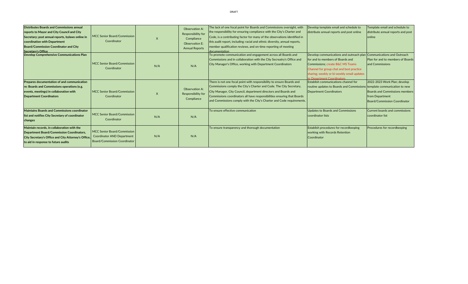| Distributes Boards and Commissions annual<br>reports to Mayor and City Council and City<br>Secretary; post annual reports, bylaws online in<br>coordination with Department<br><b>Board/Commission Coordinator and City</b><br>Secretary's Office | <b>MCC Senior Board/Commission</b><br>Coordinator                                                       | $\mathsf{X}$ | <b>Observation A:</b><br>Responsibility for<br>Compliance<br><b>Observation E:</b><br><b>Annual Reports</b> | The lack of one focal point for Boards and Commissions oversight, with<br>the responsibility for ensuring compliance with the City's Charter and<br>Code, is a contributing factor for many of the observations identified in<br>this audit report, including: racial and ethnic diversity, annual reports,<br>member qualification reviews, and on-time reporting of meeting<br>documentation | Develop template email and schedule to<br>distribute annual reports and post online                                                                                                                                                                                  | Template email and schedule to<br>distribute annual reports and post<br>online                                                  |
|---------------------------------------------------------------------------------------------------------------------------------------------------------------------------------------------------------------------------------------------------|---------------------------------------------------------------------------------------------------------|--------------|-------------------------------------------------------------------------------------------------------------|------------------------------------------------------------------------------------------------------------------------------------------------------------------------------------------------------------------------------------------------------------------------------------------------------------------------------------------------------------------------------------------------|----------------------------------------------------------------------------------------------------------------------------------------------------------------------------------------------------------------------------------------------------------------------|---------------------------------------------------------------------------------------------------------------------------------|
| Develop Comprehensive Communications Plan                                                                                                                                                                                                         | <b>MCC Senior Board/Commission</b><br>Coordinator                                                       | N/A          | N/A                                                                                                         | To promote communication and engagement across all Boards and<br>Commissions and in collaboration with the City Secreatry's Office and<br>City Manager's Office, working with Department Coordinators                                                                                                                                                                                          | Develop communications and outreach plan Communications and Outreach<br>for and to members of Boards and<br>Commissions; create B&C MS Teams<br>Channel for group chat and best practice<br>sharing; weekly or bi-weekly email updates<br>to Department Coordinators | Plan for and to members of Boards<br>and Commissions                                                                            |
| Prepares documentation of and communication<br>re: Boards and Commissions operations (e.g.<br>events, meetings) in collaboration with<br><b>Department Coordinators</b>                                                                           | MCC Senior Board/Commission<br>Coordinator                                                              | $\mathsf{X}$ | <b>Observation A:</b><br>Responsibility for<br>Compliance                                                   | There is not one focal point with responsibility to ensure Boards and<br>Commissions comply the City's Charter and Code. The City Secretary,<br>City Manager, City Council, department directors and Boards and<br>Commissions coordinators all have responsibilities ensuring that Boards<br>and Commissions comply with the City's Charter and Code requirements.                            | <b>Establish communications channel for</b><br>routine updates to Boards and Commissions template communication to new<br>Department Coordinators                                                                                                                    | 2022-2023 Work Plan; develop<br><b>Boards and Commissions members</b><br>from Department<br><b>Board/Commission Coordinator</b> |
| Maintains Boards and Commissions coordinator<br>list and notifies City Secretary of coordinator<br>changes                                                                                                                                        | MCC Senior Board/Commission<br>Coordinator                                                              | N/A          | N/A                                                                                                         | To ensure effective communication                                                                                                                                                                                                                                                                                                                                                              | Updates to Boards and Commissions<br>coordinator lists                                                                                                                                                                                                               | <b>Current boards and commissions</b><br>coordinator list                                                                       |
| Maintain records, in collaboration with the<br><b>Department Board/Commission Coordinators,</b><br>City Secretary's Office and City Attorney's Office,<br>to aid in response to future audits                                                     | MCC Senior Board/Commission<br><b>Coordinator AND Department</b><br><b>Board/Commission Coordinator</b> | N/A          | N/A                                                                                                         | To ensure transparency and thorough documentation                                                                                                                                                                                                                                                                                                                                              | <b>Establish procedures for recordkeeping</b><br><b>working with Records Retention</b><br><b>Coordinator</b>                                                                                                                                                         | Procedures for recordkeeping                                                                                                    |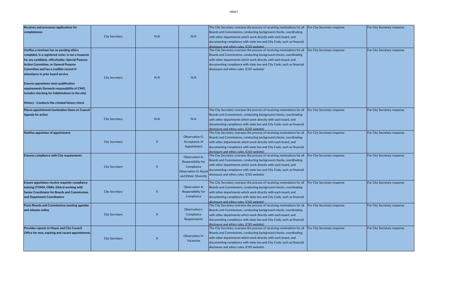| <b>Receives and processes applications for</b>       |                       |                  |                             | The City Secretary oversees the process of receiving nominations for all                                               | <b>For City Secretary response</b> | For City Secretary response        |
|------------------------------------------------------|-----------------------|------------------|-----------------------------|------------------------------------------------------------------------------------------------------------------------|------------------------------------|------------------------------------|
| completeness                                         |                       |                  |                             | Boards and Commissions, conducting background checks, coordinating                                                     |                                    |                                    |
|                                                      | <b>City Secretary</b> | N/A              | N/A                         | with other departments which work directly with each board, and                                                        |                                    |                                    |
|                                                      |                       |                  |                             | documenting compliance with state law and City Code, such as financial                                                 |                                    |                                    |
|                                                      |                       |                  |                             | disclosure and ethics rules. (CSO website)                                                                             |                                    |                                    |
| Verifies a nominee has no pending ethics             |                       |                  |                             | The City Secretary oversees the process of receiving nominations for all                                               | <b>For City Secretary response</b> | For City Secretary response        |
| complaint, is a registered voter, is not a treasurer |                       |                  |                             | Boards and Commissions, conducting background checks, coordinating                                                     |                                    |                                    |
| for any candidate, officeholder, Special Purpose     |                       |                  |                             | with other departments which work directly with each board, and                                                        |                                    |                                    |
| <b>Action Committee, or General Purpose</b>          |                       |                  |                             | documenting compliance with state law and City Code, such as financial                                                 |                                    |                                    |
| Committee and has a credible record of               |                       |                  |                             | disclosure and ethics rules. (CSO website)                                                                             |                                    |                                    |
| attendance in prior board service                    |                       |                  |                             |                                                                                                                        |                                    |                                    |
|                                                      | <b>City Secretary</b> | N/A              | N/A                         |                                                                                                                        |                                    |                                    |
| <b>Ensures appointees meet qualification</b>         |                       |                  |                             |                                                                                                                        |                                    |                                    |
| requirements (formerly responsibility of CMO,        |                       |                  |                             |                                                                                                                        |                                    |                                    |
| includes checking for indebtedness to the city)      |                       |                  |                             |                                                                                                                        |                                    |                                    |
|                                                      |                       |                  |                             |                                                                                                                        |                                    |                                    |
| History - Conducts the criminal history check        |                       |                  |                             |                                                                                                                        |                                    |                                    |
|                                                      |                       |                  |                             |                                                                                                                        |                                    |                                    |
| Places appointment/nomination items on Council       |                       |                  |                             | The City Secretary oversees the process of receiving nominations for all                                               | <b>For City Secretary response</b> | For City Secretary response        |
| Agenda for action                                    | <b>City Secretary</b> | N/A              | N/A                         | Boards and Commissions, conducting background checks, coordinating                                                     |                                    |                                    |
|                                                      |                       |                  |                             | with other departments which work directly with each board, and                                                        |                                    |                                    |
|                                                      |                       |                  |                             | documenting compliance with state law and City Code, such as financial                                                 |                                    |                                    |
| Notifies appointee of appointment                    |                       |                  |                             | disclosure and ethics rules. (CSO website)<br>The City Secretary oversees the process of receiving nominations for all | <b>For City Secretary response</b> | <b>For City Secretary response</b> |
|                                                      |                       |                  | <b>Observation G:</b>       | Boards and Commissions, conducting background checks, coordinating                                                     |                                    |                                    |
|                                                      | <b>City Secretary</b> | $\mathsf{X}$     | Acceptance of               | with other departments which work directly with each board, and                                                        |                                    |                                    |
|                                                      |                       |                  | Appointment                 | documenting compliance with state law and City Code, such as financial                                                 |                                    |                                    |
|                                                      |                       |                  |                             | disclosure and ethics rules. (CSO website)                                                                             |                                    |                                    |
| <b>Ensures compliance with City requirements</b>     |                       |                  | <b>Observation A:</b>       | The City Secretary oversees the process of receiving nominations for all                                               | <b>For City Secretary response</b> | For City Secretary response        |
|                                                      |                       |                  |                             | Boards and Commissions, conducting background checks, coordinating                                                     |                                    |                                    |
|                                                      |                       |                  | Responsibility for          | with other departments which work directly with each board, and                                                        |                                    |                                    |
|                                                      | <b>City Secretary</b> | $\boldsymbol{X}$ | Compliance                  | documenting compliance with state law and City Code, such as financial                                                 |                                    |                                    |
|                                                      |                       |                  | <b>Observation D: Racia</b> | disclosure and ethics rules. (CSO website)                                                                             |                                    |                                    |
|                                                      |                       |                  | and Ethnic Diversity        |                                                                                                                        |                                    |                                    |
| Ensure appointees receive requisite compliance       |                       |                  |                             | The City Secretary oversees the process of receiving nominations for all                                               | <b>For City Secretary response</b> | For City Secretary response        |
| training (TOMA, ORRs, Ethics) working with           |                       |                  | Observation A:              | Boards and Commissions, conducting background checks, coordinating                                                     |                                    |                                    |
| <b>Senior Coordinator for Boards and Commissions</b> | <b>City Secretary</b> | $\boldsymbol{X}$ | Responsibility for          | with other departments which work directly with each board, and                                                        |                                    |                                    |
| and Department Coordinators                          |                       |                  | Compliance                  | documenting compliance with state law and City Code, such as financial                                                 |                                    |                                    |
|                                                      |                       |                  |                             | disclosure and ethics rules. (CSO website)                                                                             |                                    |                                    |
| Posts Boards and Commissions meeting agendas         |                       |                  |                             | The City Secretary oversees the process of receiving nominations for all                                               | <b>For City Secretary response</b> | For City Secretary response        |
| and minutes online                                   |                       |                  | Observation I:              | Boards and Commissions, conducting background checks, coordinating                                                     |                                    |                                    |
|                                                      | <b>City Secretary</b> | $\boldsymbol{X}$ | Compliance                  | with other departments which work directly with each board, and                                                        |                                    |                                    |
|                                                      |                       |                  | Requirements                | documenting compliance with state law and City Code, such as financial                                                 |                                    |                                    |
| <b>Provides reports to Mayor and City Council</b>    |                       |                  |                             | disclosure and ethics rules. (CSO website)<br>The City Secretary oversees the process of receiving nominations for all | <b>For City Secretary response</b> | For City Secretary response        |
|                                                      |                       |                  |                             |                                                                                                                        |                                    |                                    |
| Office for new, expiring and vacant appointments     |                       |                  | Observation H:              | Boards and Commissions, conducting background checks, coordinating                                                     |                                    |                                    |
|                                                      | <b>City Secretary</b> | $\boldsymbol{X}$ | Vacancies                   | with other departments which work directly with each board, and                                                        |                                    |                                    |
|                                                      |                       |                  |                             | documenting compliance with state law and City Code, such as financial                                                 |                                    |                                    |
|                                                      |                       |                  |                             | disclosure and ethics rules. (CSO website)                                                                             |                                    |                                    |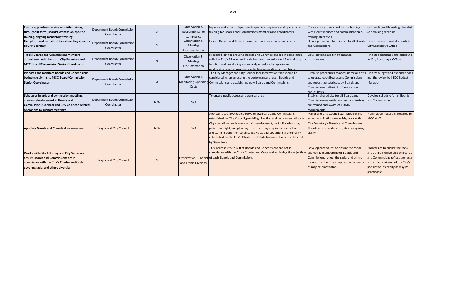| <b>Ensure appointees receive requisite training</b><br>throughout term (Board/Commission-specific<br>training, ongoing mandatory training)                                           | Department Board/Commission<br>Coordinator        | $\times$ | Observation A:<br>Responsibility for<br>Compliance<br><b>Observation F:</b> | Improve and expand department-specific compliance and operational<br>training for Boards and Commissions members and coordinators                                                                                                                                                                                                                                                                                                                                                                      | Create onboarding checklist for training<br>with clear timelines and communication of<br>training objectives.                                                                                                                   | Onboarding/offboarding checklist<br>and training schedule                                                                                                    |
|--------------------------------------------------------------------------------------------------------------------------------------------------------------------------------------|---------------------------------------------------|----------|-----------------------------------------------------------------------------|--------------------------------------------------------------------------------------------------------------------------------------------------------------------------------------------------------------------------------------------------------------------------------------------------------------------------------------------------------------------------------------------------------------------------------------------------------------------------------------------------------|---------------------------------------------------------------------------------------------------------------------------------------------------------------------------------------------------------------------------------|--------------------------------------------------------------------------------------------------------------------------------------------------------------|
| Completes and submits detailed meeting minutes<br>to City Secretary                                                                                                                  | <b>Department Board/Commission</b><br>Coordinator | $\times$ | Meeting<br>Documentation                                                    | Ensure Boards and Commissions material is assessable and correct                                                                                                                                                                                                                                                                                                                                                                                                                                       | Develop template for minutes by all Boards Finalize minutes and distribute to<br>and Commissions                                                                                                                                | <b>City Secretary's Office</b>                                                                                                                               |
| <b>Tracks Boards and Commissions members</b><br>attendance and submits to City Secretary and<br>MCC Board/Commission Senior Coordinator                                              | Department Board/Commission<br>Coordinator        | $\sf X$  | Observation F:<br><b>Meeting</b><br>Documentation                           | Responsibility for ensuring Boards and Commissions are in compliance<br>with the City's Charter and Code has been decentralized. Centralizing this management<br>function and developing a standard procedure for appointee<br>qualifications will ensure more effective application of the charter.                                                                                                                                                                                                   | Develop template for attendance                                                                                                                                                                                                 | Finalize attendance and distribute<br>to City Secretary's Office                                                                                             |
| Prepares and monitors Boards and Commissions<br>budget(s) submits to MCC Board/Commission<br><b>Senior Coordinator</b>                                                               | Department Board/Commission<br>Coordinator        | $\chi$   | Observation B:<br>Costs                                                     | The City Manager and City Council lack information that should be<br>considered when assessing the performance of each Boards and<br>Monitoring Operating Commissions and establishing new Boards and Commissions.                                                                                                                                                                                                                                                                                     | Establish procedures to account for all costs Finalize budget and expenses each<br>to operate each Boards and Commissions<br>and report the total cost by Boards and<br>Commissions to the City Council on an<br>lannual basis. | month; review by MCC Budget<br>Manager                                                                                                                       |
| Schedules boards and commission meetings,<br>creates calendar event in Boards and<br>Commissions Calendar and City Calendar, related<br>operations to support meetings               | Department Board/Commission<br>Coordinator        | N/A      | N/A                                                                         | To ensure public access and transparency                                                                                                                                                                                                                                                                                                                                                                                                                                                               | Establish shared site for all Boards and<br>Commission materials, ensure coordinators and Commissions<br>are trained and aware of TOMA<br>requirements                                                                          | Develop schedule for all Boards                                                                                                                              |
| <b>Appoints Boards and Commissions members</b>                                                                                                                                       | <b>Mayor and City Council</b>                     | N/A      | N/A                                                                         | Approximately 500 people serve on 52 Boards and Commissions<br>established by City Council, providing direction and recommendations for submit nominations materials, work with<br>City operations, such as economic development, parks, libraries, arts,<br>police oversight, and planning. The operating requirements for Boards<br>and Commissions membership, activities, and operations are primarily<br>established by the City's Charter and Code but may also be established<br>by State laws. | Mayor and City Council staff prepare and<br><b>City Secretary's Boards and Commissions</b><br>Coordinator to address any items requiring<br>clarity                                                                             | Nomination materials prepared by<br><b>MCC staff</b>                                                                                                         |
| <b>Works with City Attorney and City Secretary to</b><br>ensure Boards and Commissions are in<br>compliance with the City's Charter and Code<br>covering racial and ethnic diversity | <b>Mayor and City Council</b>                     | X        | and Ethnic Diversity                                                        | This increases the risk that Boards and Commissions are not in<br>compliance with the City's Charter and Code and achieving the objectives and ethnic membership of Boards and<br>Observation D: Racial of each Boards and Commissions.                                                                                                                                                                                                                                                                | $\vert$ Develop procedures to ensure the racial $\vert$ Procedures to ensure the racial<br>Commissions reflect the racial and ethnic<br>make-up of the City's population, as nearly<br>as may be practicable.                   | and ethnic membership of Boards<br>and Commissions reflect the racial<br>and ethnic make-up of the City's<br>population, as nearly as may be<br>practicable. |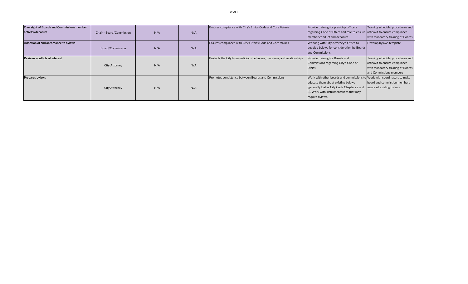| <b>Oversight of Boards and Commissions member</b> |                                 |     |     | Ensures compliance with City's Ethics Code and Core Values               | <b>Provide training for presiding officers</b>                                                                                                                                                                                                         | Training schedule, procedures and                                                                                                   |
|---------------------------------------------------|---------------------------------|-----|-----|--------------------------------------------------------------------------|--------------------------------------------------------------------------------------------------------------------------------------------------------------------------------------------------------------------------------------------------------|-------------------------------------------------------------------------------------------------------------------------------------|
| activity/decorum                                  | <b>Chair - Board/Commission</b> | N/A | N/A |                                                                          | regarding Code of Ethics and role to ensure affidavit to ensure compliance<br>member conduct and decorum                                                                                                                                               | with mandatory training of Boards                                                                                                   |
| Adoption of and accordance to bylaws              | Board/Commission                | N/A | N/A | Ensures compliance with City's Ethics Code and Core Values               | Working with City Attorney's Office to<br>develop bylaws for consideration by Boards<br>and Commissions                                                                                                                                                | Develop bylaws template                                                                                                             |
| <b>Reviews conflicts of interest</b>              | <b>City Attorney</b>            | N/A | N/A | Protects the City from malicious behaviors, decisions, and relationships | Provide training for Boards and<br>Commissions regarding City's Code of<br><b>Ethics</b>                                                                                                                                                               | Training schedule, procedures and<br>affidavit to ensure compliance<br>with mandatory training of Boards<br>and Commissions members |
| Prepares bylaws                                   | <b>City Attorney</b>            | N/A | N/A | Promotes consistency between Boards and Commissions                      | Work with other boards and commissions to Work with coordinators to make<br>educate them about existing bylaws<br>(generally Dallas City Code Chapters 2 and aware of existing by laws.<br>8). Work with instrumentalities that may<br>require bylaws. | board and commission members                                                                                                        |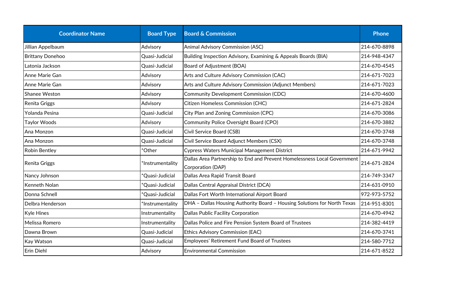| <b>Coordinator Name</b> | <b>Board Type</b>           | <b>Board &amp; Commission</b>                                                                 | <b>Phone</b> |
|-------------------------|-----------------------------|-----------------------------------------------------------------------------------------------|--------------|
| Jillian Appelbaum       | Advisory                    | <b>Animal Advisory Commission (ASC)</b>                                                       | 214-670-8898 |
| <b>Brittany Donehoo</b> | Quasi-Judicial              | Building Inspection Advisory, Examining & Appeals Boards (BIA)                                | 214-948-4347 |
| Latonia Jackson         | Quasi-Judicial              | <b>Board of Adjustment (BOA)</b>                                                              | 214-670-4545 |
| Anne Marie Gan          | Advisory                    | Arts and Culture Advisory Commission (CAC)                                                    | 214-671-7023 |
| Anne Marie Gan          | Advisory                    | Arts and Culture Advisory Commission (Adjunct Members)                                        | 214-671-7023 |
| <b>Shanee Weston</b>    | Advisory                    | <b>Community Development Commission (CDC)</b>                                                 | 214-670-4600 |
| Renita Griggs           | Advisory                    | <b>Citizen Homeless Commission (CHC)</b>                                                      | 214-671-2824 |
| Yolanda Pesina          | Quasi-Judicial              | City Plan and Zoning Commission (CPC)                                                         | 214-670-3086 |
| <b>Taylor Woods</b>     | Advisory                    | <b>Community Police Oversight Board (CPO)</b>                                                 | 214-670-3882 |
| Ana Monzon              | Quasi-Judicial              | Civil Service Board (CSB)                                                                     | 214-670-3748 |
| Ana Monzon              | Quasi-Judicial              | Civil Service Board Adjunct Members (CSX)                                                     | 214-670-3748 |
| <b>Robin Bentley</b>    | *Other                      | <b>Cypress Waters Municipal Management District</b>                                           | 214-671-9942 |
| Renita Griggs           | *Instrumentality            | Dallas Area Partnership to End and Prevent Homelessness Local Government<br>Corporation (DAP) |              |
| Nancy Johnson           | *Quasi-Judicial             | Dallas Area Rapid Transit Board                                                               | 214-749-3347 |
| <b>Kenneth Nolan</b>    | *Quasi-Judicial             | Dallas Central Appraisal District (DCA)                                                       | 214-631-0910 |
| Donna Schnell           | <sup>*</sup> Quasi-Judicial | Dallas Fort Worth International Airport Board                                                 | 972-973-5752 |
| Delbra Henderson        | *Instrumentality            | DHA - Dallas Housing Authority Board - Housing Solutions for North Texas                      | 214-951-8301 |
| <b>Kyle Hines</b>       | Instrumentality             | Dallas Public Facility Corporation                                                            | 214-670-4942 |
| Melissa Romero          | Instrumentality             | Dallas Police and Fire Pension System Board of Trustees                                       | 214-382-4419 |
| Dawna Brown             | Quasi-Judicial              | <b>Ethics Advisory Commission (EAC)</b>                                                       | 214-670-3741 |
| Kay Watson              | Quasi-Judicial              | <b>Employees' Retirement Fund Board of Trustees</b>                                           | 214-580-7712 |
| Erin Diehl              | Advisory                    | <b>Environmental Commission</b>                                                               | 214-671-8522 |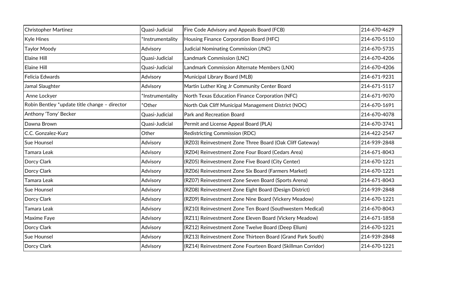| <b>Christopher Martinez</b>                   | Quasi-Judicial   | Fire Code Advisory and Appeals Board (FCB)                  | 214-670-4629 |
|-----------------------------------------------|------------------|-------------------------------------------------------------|--------------|
| Kyle Hines                                    | *Instrumentality | Housing Finance Corporation Board (HFC)                     | 214-670-5110 |
| Taylor Moody                                  | Advisory         | Judicial Nominating Commission (JNC)                        | 214-670-5735 |
| <b>Elaine Hill</b>                            | Quasi-Judicial   | Landmark Commission (LNC)                                   | 214-670-4206 |
| <b>Elaine Hill</b>                            | Quasi-Judicial   | Landmark Commission Alternate Members (LNX)                 | 214-670-4206 |
| Felicia Edwards                               | Advisory         | Municipal Library Board (MLB)                               | 214-671-9231 |
| Jamal Slaughter                               | Advisory         | Martin Luther King Jr Community Center Board                | 214-671-5117 |
| Anne Lockyer                                  | *Instrumentality | North Texas Education Finance Corporation (NFC)             | 214-671-9070 |
| Robin Bentley *update title change - director | *Other           | North Oak Cliff Municipal Management District (NOC)         | 214-670-1691 |
| Anthony 'Tony' Becker                         | Quasi-Judicial   | <b>Park and Recreation Board</b>                            | 214-670-4078 |
| Dawna Brown                                   | Quasi-Judicial   | Permit and License Appeal Board (PLA)                       | 214-670-3741 |
| C.C. Gonzalez-Kurz                            | Other            | <b>Redistricting Commission (RDC)</b>                       | 214-422-2547 |
| Sue Hounsel                                   | Advisory         | (RZ03) Reinvestment Zone Three Board (Oak Cliff Gateway)    | 214-939-2848 |
| Tamara Leak                                   | Advisory         | (RZ04) Reinvestment Zone Four Board (Cedars Area)           | 214-671-8043 |
| Dorcy Clark                                   | Advisory         | (RZ05) Reinvestment Zone Five Board (City Center)           | 214-670-1221 |
| Dorcy Clark                                   | Advisory         | (RZ06) Reinvestment Zone Six Board (Farmers Market)         | 214-670-1221 |
| Tamara Leak                                   | Advisory         | (RZ07) Reinvestment Zone Seven Board (Sports Arena)         | 214-671-8043 |
| Sue Hounsel                                   | Advisory         | (RZ08) Reinvestment Zone Eight Board (Design District)      | 214-939-2848 |
| Dorcy Clark                                   | Advisory         | (RZ09) Reinvestment Zone Nine Board (Vickery Meadow)        | 214-670-1221 |
| Tamara Leak                                   | Advisory         | (RZ10) Reinvestment Zone Ten Board (Southwestern Medical)   | 214-670-8043 |
| Maxime Faye                                   | Advisory         | (RZ11) Reinvestment Zone Eleven Board (Vickery Meadow)      | 214-671-1858 |
| Dorcy Clark                                   | Advisory         | (RZ12) Reinvestment Zone Twelve Board (Deep Ellum)          | 214-670-1221 |
| Sue Hounsel                                   | Advisory         | (RZ13) Reinvestment Zone Thirteen Board (Grand Park South)  | 214-939-2848 |
| Dorcy Clark                                   | Advisory         | (RZ14) Reinvestment Zone Fourteen Board (Skillman Corridor) | 214-670-1221 |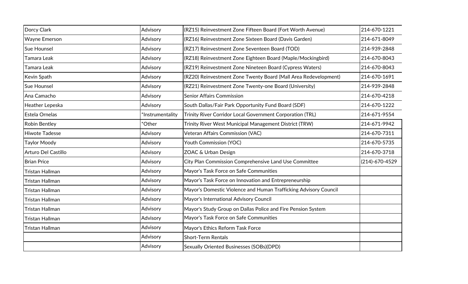| Dorcy Clark           | Advisory         | (RZ15) Reinvestment Zone Fifteen Board (Fort Worth Avenue)       | 214-670-1221         |
|-----------------------|------------------|------------------------------------------------------------------|----------------------|
| <b>Wayne Emerson</b>  | Advisory         | (RZ16) Reinvestment Zone Sixteen Board (Davis Garden)            | 214-671-8049         |
| Sue Hounsel           | Advisory         | (RZ17) Reinvestment Zone Seventeen Board (TOD)                   | 214-939-2848         |
| Tamara Leak           | Advisory         | (RZ18) Reinvestment Zone Eighteen Board (Maple/Mockingbird)      | 214-670-8043         |
| Tamara Leak           | Advisory         | (RZ19) Reinvestment Zone Nineteen Board (Cypress Waters)         | 214-670-8043         |
| Kevin Spath           | Advisory         | (RZ20) Reinvestment Zone Twenty Board (Mall Area Redevelopment)  | 214-670-1691         |
| Sue Hounsel           | Advisory         | (RZ21) Reinvestment Zone Twenty-one Board (University)           | 214-939-2848         |
| Ana Camacho           | Advisory         | <b>Senior Affairs Commission</b>                                 | 214-670-4218         |
| Heather Lepeska       | Advisory         | South Dallas/Fair Park Opportunity Fund Board (SDF)              | 214-670-1222         |
| Estela Ornelas        | *Instrumentality | Trinity River Corridor Local Government Corporation (TRL)        | 214-671-9554         |
| <b>Robin Bentley</b>  | *Other           | Trinity River West Municipal Management District (TRW)           | 214-671-9942         |
| <b>Hiwote Tadesse</b> | Advisory         | Veteran Affairs Commission (VAC)                                 | 214-670-7311         |
| <b>Taylor Moody</b>   | Advisory         | <b>Youth Commission (YOC)</b>                                    | 214-670-5735         |
| Arturo Del Castillo   | Advisory         | ZOAC & Urban Design                                              | 214-670-3718         |
| <b>Brian Price</b>    | Advisory         | City Plan Commission Comprehensive Land Use Committee            | $(214) - 670 - 4529$ |
| Tristan Hallman       | Advisory         | Mayor's Task Force on Safe Communities                           |                      |
| Tristan Hallman       | Advisory         | Mayor's Task Force on Innovation and Entrepreneurship            |                      |
| Tristan Hallman       | Advisory         | Mayor's Domestic Violence and Human Trafficking Advisory Council |                      |
| Tristan Hallman       | Advisory         | Mayor's International Advisory Council                           |                      |
| Tristan Hallman       | Advisory         | Mayor's Study Group on Dallas Police and Fire Pension System     |                      |
| Tristan Hallman       | Advisory         | Mayor's Task Force on Safe Communities                           |                      |
| Tristan Hallman       | Advisory         | Mayor's Ethics Reform Task Force                                 |                      |
|                       | Advisory         | <b>Short-Term Rentals</b>                                        |                      |
|                       | Advisory         | Sexually Oriented Businesses (SOBs)(DPD)                         |                      |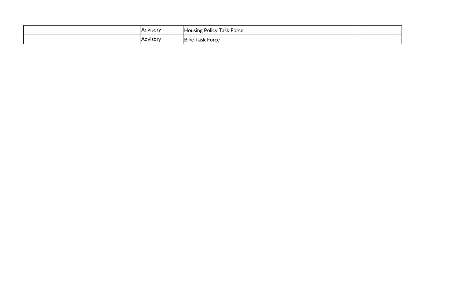| <b>Advisory</b> | : Policy Task Force .<br><b>Housing</b> |  |
|-----------------|-----------------------------------------|--|
| Advisory        | <b>Task Force</b><br><b>Bike</b>        |  |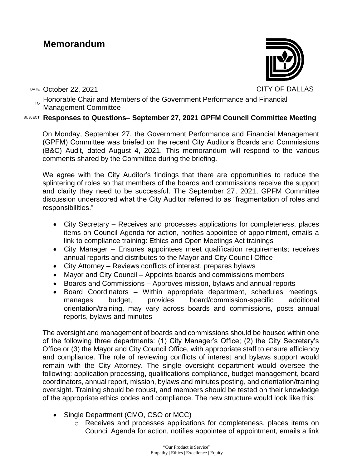# **Memorandum**

DATE October 22, 2021 CITY OF DALLAS

 $_{\text{\tiny TO}}$  Honorable Chair and Members of the Government Performance and Financial Management Committee

# SUBJECT **Responses to Questions– September 27, 2021 GPFM Council Committee Meeting**

On Monday, September 27, the Government Performance and Financial Management (GPFM) Committee was briefed on the recent City Auditor's Boards and Commissions (B&C) Audit, dated August 4, 2021. This memorandum will respond to the various comments shared by the Committee during the briefing.

We agree with the City Auditor's findings that there are opportunities to reduce the splintering of roles so that members of the boards and commissions receive the support and clarity they need to be successful. The September 27, 2021, GPFM Committee discussion underscored what the City Auditor referred to as "fragmentation of roles and responsibilities."

- City Secretary Receives and processes applications for completeness, places items on Council Agenda for action, notifies appointee of appointment, emails a link to compliance training: Ethics and Open Meetings Act trainings
- City Manager Ensures appointees meet qualification requirements; receives annual reports and distributes to the Mayor and City Council Office
- City Attorney Reviews conflicts of interest, prepares bylaws
- Mayor and City Council Appoints boards and commissions members
- Boards and Commissions Approves mission, bylaws and annual reports
- Board Coordinators Within appropriate department, schedules meetings, manages budget, provides board/commission-specific additional orientation/training, may vary across boards and commissions, posts annual reports, bylaws and minutes

The oversight and management of boards and commissions should be housed within one of the following three departments: (1) City Manager's Office; (2) the City Secretary's Office or (3) the Mayor and City Council Office, with appropriate staff to ensure efficiency and compliance. The role of reviewing conflicts of interest and bylaws support would remain with the City Attorney. The single oversight department would oversee the following: application processing, qualifications compliance, budget management, board coordinators, annual report, mission, bylaws and minutes posting, and orientation/training oversight. Training should be robust, and members should be tested on their knowledge of the appropriate ethics codes and compliance. The new structure would look like this:

- Single Department (CMO, CSO or MCC)
	- o Receives and processes applications for completeness, places items on Council Agenda for action, notifies appointee of appointment, emails a link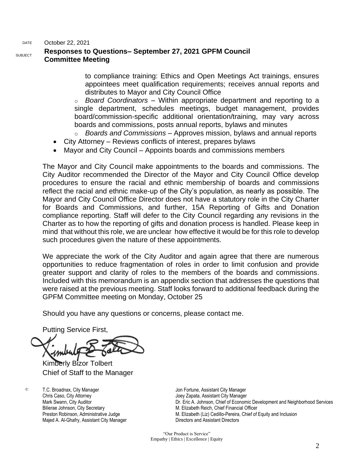DATE October 22, 2021

#### SUBJECT **Responses to Questions– September 27, 2021 GPFM Council Committee Meeting**

to compliance training: Ethics and Open Meetings Act trainings, ensures appointees meet qualification requirements; receives annual reports and distributes to Mayor and City Council Office

o *Board Coordinators* – Within appropriate department and reporting to a single department, schedules meetings, budget management, provides board/commission-specific additional orientation/training, may vary across boards and commissions, posts annual reports, bylaws and minutes

- o *Boards and Commissions* Approves mission, bylaws and annual reports
- City Attorney Reviews conflicts of interest, prepares bylaws
- Mayor and City Council Appoints boards and commissions members

The Mayor and City Council make appointments to the boards and commissions. The City Auditor recommended the Director of the Mayor and City Council Office develop procedures to ensure the racial and ethnic membership of boards and commissions reflect the racial and ethnic make-up of the City's population, as nearly as possible. The Mayor and City Council Office Director does not have a statutory role in the City Charter for Boards and Commissions, and further, 15A Reporting of Gifts and Donation compliance reporting. Staff will defer to the City Council regarding any revisions in the Charter as to how the reporting of gifts and donation process is handled. Please keep in mind that without this role, we are unclear how effective it would be for this role to develop such procedures given the nature of these appointments.

We appreciate the work of the City Auditor and again agree that there are numerous opportunities to reduce fragmentation of roles in order to limit confusion and provide greater support and clarity of roles to the members of the boards and commissions. Included with this memorandum is an appendix section that addresses the questions that were raised at the previous meeting. Staff looks forward to additional feedback during the GPFM Committee meeting on Monday, October 25

Should you have any questions or concerns, please contact me.

Putting Service First,

Kimberly Bizor Tolbert Chief of Staff to the Manager

c: T.C. Broadnax, City Manager Chris Caso, City Attorney Mark Swann, City Auditor Bilierae Johnson, City Secretary Preston Robinson, Administrative Judge Majed A. Al-Ghafry, Assistant City Manager

Jon Fortune, Assistant City Manager Joey Zapata, Assistant City Manager Dr. Eric A. Johnson, Chief of Economic Development and Neighborhood Services M. Elizabeth Reich, Chief Financial Officer M. Elizabeth (Liz) Cedillo-Pereira, Chief of Equity and Inclusion Directors and Assistant Directors

"Our Product is Service" Empathy | Ethics | Excellence | Equity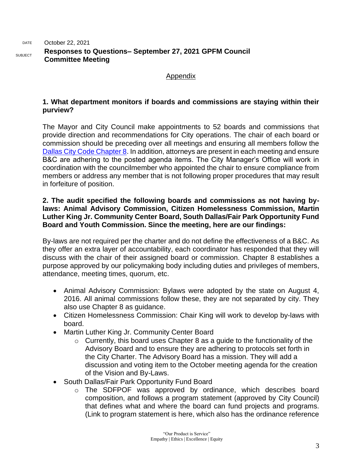#### DATE October 22, 2021 SUBJECT **Responses to Questions– September 27, 2021 GPFM Council Committee Meeting**

# Appendix

# **1. What department monitors if boards and commissions are staying within their purview?**

The Mayor and City Council make appointments to 52 boards and commissions that provide direction and recommendations for City operations. The chair of each board or commission should be preceding over all meetings and ensuring all members follow the [Dallas City Code Chapter 8.](https://codelibrary.amlegal.com/codes/dallas/latest/dallas_tx/0-0-0-3079) In addition, attorneys are present in each meeting and ensure B&C are adhering to the posted agenda items. The City Manager's Office will work in coordination with the councilmember who appointed the chair to ensure compliance from members or address any member that is not following proper procedures that may result in forfeiture of position.

# **2. The audit specified the following boards and commissions as not having bylaws: Animal Advisory Commission, Citizen Homelessness Commission, Martin Luther King Jr. Community Center Board, South Dallas/Fair Park Opportunity Fund Board and Youth Commission. Since the meeting, here are our findings:**

By-laws are not required per the charter and do not define the effectiveness of a B&C. As they offer an extra layer of accountability, each coordinator has responded that they will discuss with the chair of their assigned board or commission. Chapter 8 establishes a purpose approved by our policymaking body including duties and privileges of members, attendance, meeting times, quorum, etc.

- Animal Advisory Commission: Bylaws were adopted by the state on August 4, 2016. All animal commissions follow these, they are not separated by city. They also use Chapter 8 as guidance.
- Citizen Homelessness Commission: Chair King will work to develop by-laws with board.
- Martin Luther King Jr. Community Center Board
	- $\circ$  Currently, this board uses Chapter 8 as a guide to the functionality of the Advisory Board and to ensure they are adhering to protocols set forth in the City Charter. The Advisory Board has a mission. They will add a discussion and voting item to the October meeting agenda for the creation of the Vision and By-Laws.
- South Dallas/Fair Park Opportunity Fund Board
	- o The SDFPOF was approved by ordinance, which describes board composition, and follows a program statement (approved by City Council) that defines what and where the board can fund projects and programs. (Link to program statement is here, which also has the ordinance reference